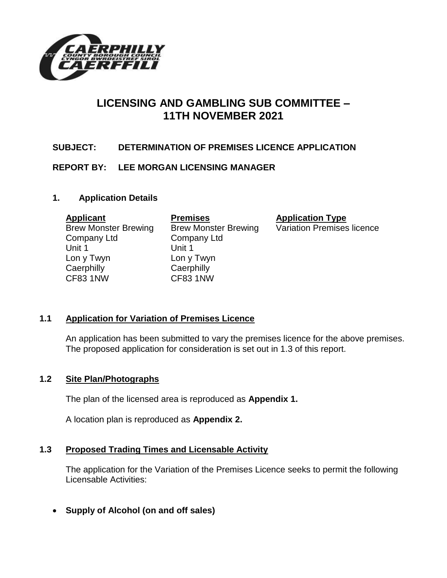

# **LICENSING AND GAMBLING SUB COMMITTEE – 11TH NOVEMBER 2021**

## **SUBJECT: DETERMINATION OF PREMISES LICENCE APPLICATION**

## **REPORT BY: LEE MORGAN LICENSING MANAGER**

**1. Application Details**

**Applicant Premises Application Type** Company Ltd Company Ltd Unit 1 Unit 1 Lon y Twyn Lon y Twyn Caerphilly Caerphilly CF83 1NW CF83 1NW

Brew Monster Brewing Brew Monster Brewing Variation Premises licence

# **1.1 Application for Variation of Premises Licence**

An application has been submitted to vary the premises licence for the above premises. The proposed application for consideration is set out in 1.3 of this report.

## **1.2 Site Plan/Photographs**

The plan of the licensed area is reproduced as **Appendix 1.**

A location plan is reproduced as **Appendix 2.**

## **1.3 Proposed Trading Times and Licensable Activity**

The application for the Variation of the Premises Licence seeks to permit the following Licensable Activities:

**Supply of Alcohol (on and off sales)**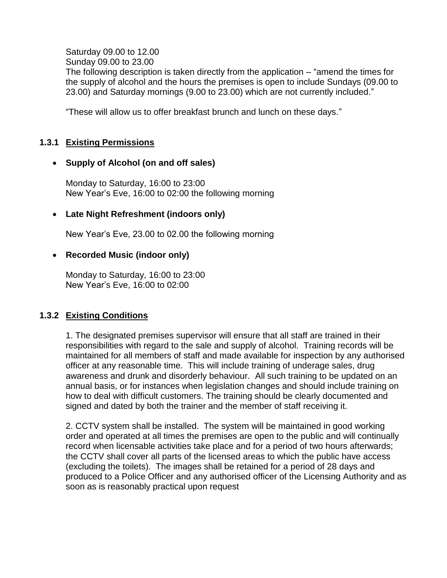Saturday 09.00 to 12.00 Sunday 09.00 to 23.00 The following description is taken directly from the application – "amend the times for the supply of alcohol and the hours the premises is open to include Sundays (09.00 to 23.00) and Saturday mornings (9.00 to 23.00) which are not currently included."

"These will allow us to offer breakfast brunch and lunch on these days."

## **1.3.1 Existing Permissions**

#### **Supply of Alcohol (on and off sales)**

Monday to Saturday, 16:00 to 23:00 New Year's Eve, 16:00 to 02:00 the following morning

## **Late Night Refreshment (indoors only)**

New Year's Eve, 23.00 to 02.00 the following morning

## **Recorded Music (indoor only)**

Monday to Saturday, 16:00 to 23:00 New Year's Eve, 16:00 to 02:00

## **1.3.2 Existing Conditions**

1. The designated premises supervisor will ensure that all staff are trained in their responsibilities with regard to the sale and supply of alcohol. Training records will be maintained for all members of staff and made available for inspection by any authorised officer at any reasonable time. This will include training of underage sales, drug awareness and drunk and disorderly behaviour. All such training to be updated on an annual basis, or for instances when legislation changes and should include training on how to deal with difficult customers. The training should be clearly documented and signed and dated by both the trainer and the member of staff receiving it.

2. CCTV system shall be installed. The system will be maintained in good working order and operated at all times the premises are open to the public and will continually record when licensable activities take place and for a period of two hours afterwards; the CCTV shall cover all parts of the licensed areas to which the public have access (excluding the toilets). The images shall be retained for a period of 28 days and produced to a Police Officer and any authorised officer of the Licensing Authority and as soon as is reasonably practical upon request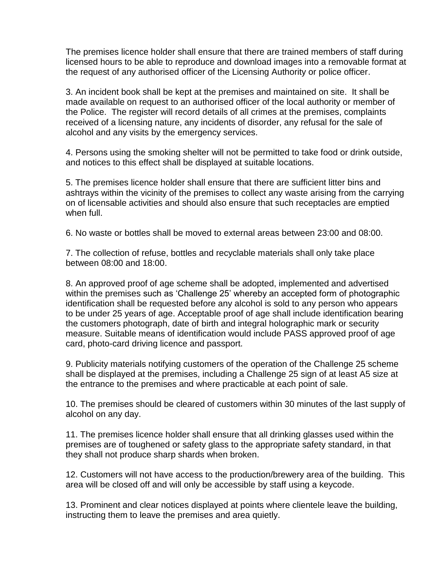The premises licence holder shall ensure that there are trained members of staff during licensed hours to be able to reproduce and download images into a removable format at the request of any authorised officer of the Licensing Authority or police officer.

3. An incident book shall be kept at the premises and maintained on site. It shall be made available on request to an authorised officer of the local authority or member of the Police. The register will record details of all crimes at the premises, complaints received of a licensing nature, any incidents of disorder, any refusal for the sale of alcohol and any visits by the emergency services.

4. Persons using the smoking shelter will not be permitted to take food or drink outside, and notices to this effect shall be displayed at suitable locations.

5. The premises licence holder shall ensure that there are sufficient litter bins and ashtrays within the vicinity of the premises to collect any waste arising from the carrying on of licensable activities and should also ensure that such receptacles are emptied when full.

6. No waste or bottles shall be moved to external areas between 23:00 and 08:00.

7. The collection of refuse, bottles and recyclable materials shall only take place between 08:00 and 18:00.

8. An approved proof of age scheme shall be adopted, implemented and advertised within the premises such as 'Challenge 25' whereby an accepted form of photographic identification shall be requested before any alcohol is sold to any person who appears to be under 25 years of age. Acceptable proof of age shall include identification bearing the customers photograph, date of birth and integral holographic mark or security measure. Suitable means of identification would include PASS approved proof of age card, photo-card driving licence and passport.

9. Publicity materials notifying customers of the operation of the Challenge 25 scheme shall be displayed at the premises, including a Challenge 25 sign of at least A5 size at the entrance to the premises and where practicable at each point of sale.

10. The premises should be cleared of customers within 30 minutes of the last supply of alcohol on any day.

11. The premises licence holder shall ensure that all drinking glasses used within the premises are of toughened or safety glass to the appropriate safety standard, in that they shall not produce sharp shards when broken.

12. Customers will not have access to the production/brewery area of the building. This area will be closed off and will only be accessible by staff using a keycode.

13. Prominent and clear notices displayed at points where clientele leave the building, instructing them to leave the premises and area quietly.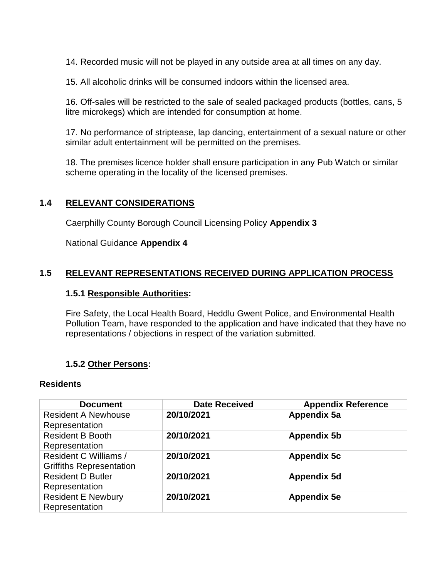14. Recorded music will not be played in any outside area at all times on any day.

15. All alcoholic drinks will be consumed indoors within the licensed area.

16. Off-sales will be restricted to the sale of sealed packaged products (bottles, cans, 5 litre microkegs) which are intended for consumption at home.

17. No performance of striptease, lap dancing, entertainment of a sexual nature or other similar adult entertainment will be permitted on the premises.

18. The premises licence holder shall ensure participation in any Pub Watch or similar scheme operating in the locality of the licensed premises.

## **1.4 RELEVANT CONSIDERATIONS**

Caerphilly County Borough Council Licensing Policy **Appendix 3**

National Guidance **Appendix 4**

## **1.5 RELEVANT REPRESENTATIONS RECEIVED DURING APPLICATION PROCESS**

#### **1.5.1 Responsible Authorities:**

Fire Safety, the Local Health Board, Heddlu Gwent Police, and Environmental Health Pollution Team, have responded to the application and have indicated that they have no representations / objections in respect of the variation submitted.

## **1.5.2 Other Persons:**

#### **Residents**

| <b>Document</b>                 | <b>Date Received</b> | <b>Appendix Reference</b> |
|---------------------------------|----------------------|---------------------------|
| <b>Resident A Newhouse</b>      | 20/10/2021           | Appendix 5a               |
| Representation                  |                      |                           |
| <b>Resident B Booth</b>         | 20/10/2021           | <b>Appendix 5b</b>        |
| Representation                  |                      |                           |
| <b>Resident C Williams /</b>    | 20/10/2021           | <b>Appendix 5c</b>        |
| <b>Griffiths Representation</b> |                      |                           |
| <b>Resident D Butler</b>        | 20/10/2021           | <b>Appendix 5d</b>        |
| Representation                  |                      |                           |
| <b>Resident E Newbury</b>       | 20/10/2021           | <b>Appendix 5e</b>        |
| Representation                  |                      |                           |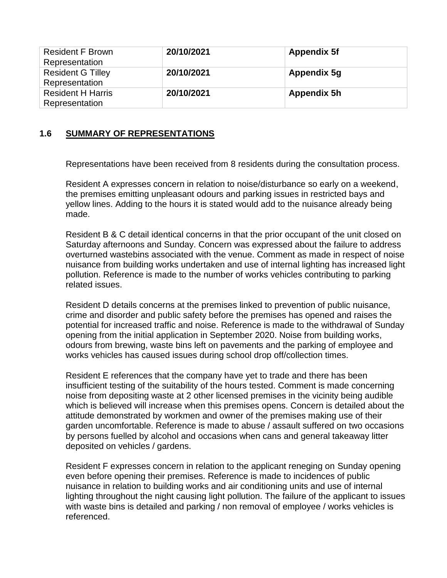| <b>Resident F Brown</b><br>Representation  | 20/10/2021 | <b>Appendix 5f</b> |
|--------------------------------------------|------------|--------------------|
| <b>Resident G Tilley</b><br>Representation | 20/10/2021 | Appendix 5g        |
| <b>Resident H Harris</b><br>Representation | 20/10/2021 | <b>Appendix 5h</b> |

## **1.6 SUMMARY OF REPRESENTATIONS**

Representations have been received from 8 residents during the consultation process.

Resident A expresses concern in relation to noise/disturbance so early on a weekend, the premises emitting unpleasant odours and parking issues in restricted bays and yellow lines. Adding to the hours it is stated would add to the nuisance already being made.

Resident B & C detail identical concerns in that the prior occupant of the unit closed on Saturday afternoons and Sunday. Concern was expressed about the failure to address overturned wastebins associated with the venue. Comment as made in respect of noise nuisance from building works undertaken and use of internal lighting has increased light pollution. Reference is made to the number of works vehicles contributing to parking related issues.

Resident D details concerns at the premises linked to prevention of public nuisance, crime and disorder and public safety before the premises has opened and raises the potential for increased traffic and noise. Reference is made to the withdrawal of Sunday opening from the initial application in September 2020. Noise from building works, odours from brewing, waste bins left on pavements and the parking of employee and works vehicles has caused issues during school drop off/collection times.

Resident E references that the company have yet to trade and there has been insufficient testing of the suitability of the hours tested. Comment is made concerning noise from depositing waste at 2 other licensed premises in the vicinity being audible which is believed will increase when this premises opens. Concern is detailed about the attitude demonstrated by workmen and owner of the premises making use of their garden uncomfortable. Reference is made to abuse / assault suffered on two occasions by persons fuelled by alcohol and occasions when cans and general takeaway litter deposited on vehicles / gardens.

Resident F expresses concern in relation to the applicant reneging on Sunday opening even before opening their premises. Reference is made to incidences of public nuisance in relation to building works and air conditioning units and use of internal lighting throughout the night causing light pollution. The failure of the applicant to issues with waste bins is detailed and parking / non removal of employee / works vehicles is referenced.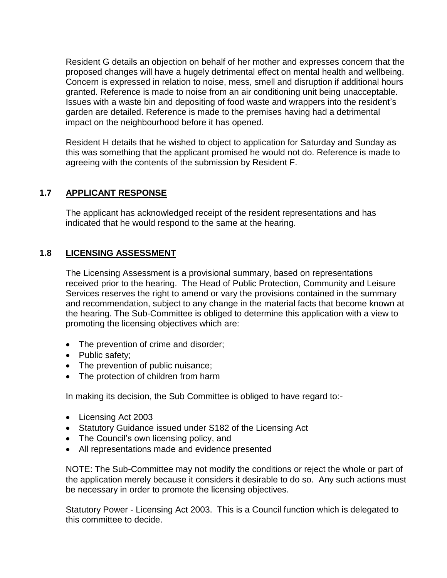Resident G details an objection on behalf of her mother and expresses concern that the proposed changes will have a hugely detrimental effect on mental health and wellbeing. Concern is expressed in relation to noise, mess, smell and disruption if additional hours granted. Reference is made to noise from an air conditioning unit being unacceptable. Issues with a waste bin and depositing of food waste and wrappers into the resident's garden are detailed. Reference is made to the premises having had a detrimental impact on the neighbourhood before it has opened.

Resident H details that he wished to object to application for Saturday and Sunday as this was something that the applicant promised he would not do. Reference is made to agreeing with the contents of the submission by Resident F.

## **1.7 APPLICANT RESPONSE**

The applicant has acknowledged receipt of the resident representations and has indicated that he would respond to the same at the hearing.

## **1.8 LICENSING ASSESSMENT**

The Licensing Assessment is a provisional summary, based on representations received prior to the hearing. The Head of Public Protection, Community and Leisure Services reserves the right to amend or vary the provisions contained in the summary and recommendation, subject to any change in the material facts that become known at the hearing. The Sub-Committee is obliged to determine this application with a view to promoting the licensing objectives which are:

- The prevention of crime and disorder;
- Public safety;
- The prevention of public nuisance;
- The protection of children from harm

In making its decision, the Sub Committee is obliged to have regard to:-

- Licensing Act 2003
- Statutory Guidance issued under S182 of the Licensing Act
- The Council's own licensing policy, and
- All representations made and evidence presented

NOTE: The Sub-Committee may not modify the conditions or reject the whole or part of the application merely because it considers it desirable to do so. Any such actions must be necessary in order to promote the licensing objectives.

Statutory Power - Licensing Act 2003. This is a Council function which is delegated to this committee to decide.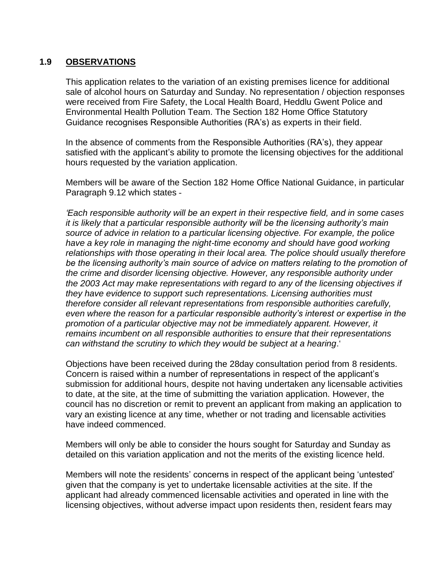# **1.9 OBSERVATIONS**

This application relates to the variation of an existing premises licence for additional sale of alcohol hours on Saturday and Sunday. No representation / objection responses were received from Fire Safety, the Local Health Board, Heddlu Gwent Police and Environmental Health Pollution Team. The Section 182 Home Office Statutory Guidance recognises Responsible Authorities (RA's) as experts in their field.

In the absence of comments from the Responsible Authorities (RA's), they appear satisfied with the applicant's ability to promote the licensing objectives for the additional hours requested by the variation application.

Members will be aware of the Section 182 Home Office National Guidance, in particular Paragraph 9.12 which states -

*'Each responsible authority will be an expert in their respective field, and in some cases it is likely that a particular responsible authority will be the licensing authority's main source of advice in relation to a particular licensing objective. For example, the police*  have a key role in managing the night-time economy and should have good working *relationships with those operating in their local area. The police should usually therefore be the licensing authority's main source of advice on matters relating to the promotion of the crime and disorder licensing objective. However, any responsible authority under the 2003 Act may make representations with regard to any of the licensing objectives if they have evidence to support such representations. Licensing authorities must therefore consider all relevant representations from responsible authorities carefully, even where the reason for a particular responsible authority's interest or expertise in the promotion of a particular objective may not be immediately apparent. However, it remains incumbent on all responsible authorities to ensure that their representations can withstand the scrutiny to which they would be subject at a hearing*.'

Objections have been received during the 28day consultation period from 8 residents. Concern is raised within a number of representations in respect of the applicant's submission for additional hours, despite not having undertaken any licensable activities to date, at the site, at the time of submitting the variation application. However, the council has no discretion or remit to prevent an applicant from making an application to vary an existing licence at any time, whether or not trading and licensable activities have indeed commenced.

Members will only be able to consider the hours sought for Saturday and Sunday as detailed on this variation application and not the merits of the existing licence held.

Members will note the residents' concerns in respect of the applicant being 'untested' given that the company is yet to undertake licensable activities at the site. If the applicant had already commenced licensable activities and operated in line with the licensing objectives, without adverse impact upon residents then, resident fears may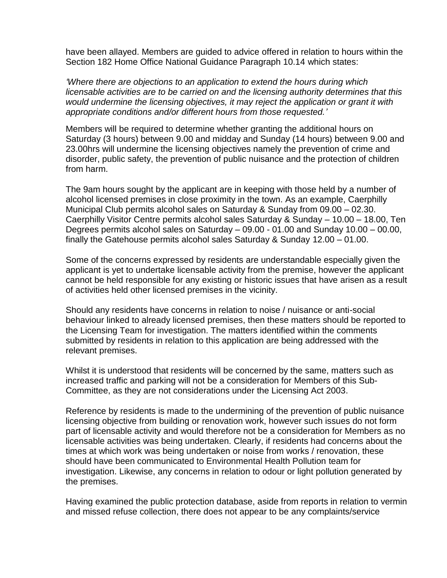have been allayed. Members are guided to advice offered in relation to hours within the Section 182 Home Office National Guidance Paragraph 10.14 which states:

*'Where there are objections to an application to extend the hours during which licensable activities are to be carried on and the licensing authority determines that this would undermine the licensing objectives, it may reject the application or grant it with appropriate conditions and/or different hours from those requested.'*

Members will be required to determine whether granting the additional hours on Saturday (3 hours) between 9.00 and midday and Sunday (14 hours) between 9.00 and 23.00hrs will undermine the licensing objectives namely the prevention of crime and disorder, public safety, the prevention of public nuisance and the protection of children from harm.

The 9am hours sought by the applicant are in keeping with those held by a number of alcohol licensed premises in close proximity in the town. As an example, Caerphilly Municipal Club permits alcohol sales on Saturday & Sunday from 09.00 – 02.30. Caerphilly Visitor Centre permits alcohol sales Saturday & Sunday – 10.00 – 18.00, Ten Degrees permits alcohol sales on Saturday – 09.00 - 01.00 and Sunday 10.00 – 00.00, finally the Gatehouse permits alcohol sales Saturday & Sunday 12.00 – 01.00.

Some of the concerns expressed by residents are understandable especially given the applicant is yet to undertake licensable activity from the premise, however the applicant cannot be held responsible for any existing or historic issues that have arisen as a result of activities held other licensed premises in the vicinity.

Should any residents have concerns in relation to noise / nuisance or anti-social behaviour linked to already licensed premises, then these matters should be reported to the Licensing Team for investigation. The matters identified within the comments submitted by residents in relation to this application are being addressed with the relevant premises.

Whilst it is understood that residents will be concerned by the same, matters such as increased traffic and parking will not be a consideration for Members of this Sub-Committee, as they are not considerations under the Licensing Act 2003.

Reference by residents is made to the undermining of the prevention of public nuisance licensing objective from building or renovation work, however such issues do not form part of licensable activity and would therefore not be a consideration for Members as no licensable activities was being undertaken. Clearly, if residents had concerns about the times at which work was being undertaken or noise from works / renovation, these should have been communicated to Environmental Health Pollution team for investigation. Likewise, any concerns in relation to odour or light pollution generated by the premises.

Having examined the public protection database, aside from reports in relation to vermin and missed refuse collection, there does not appear to be any complaints/service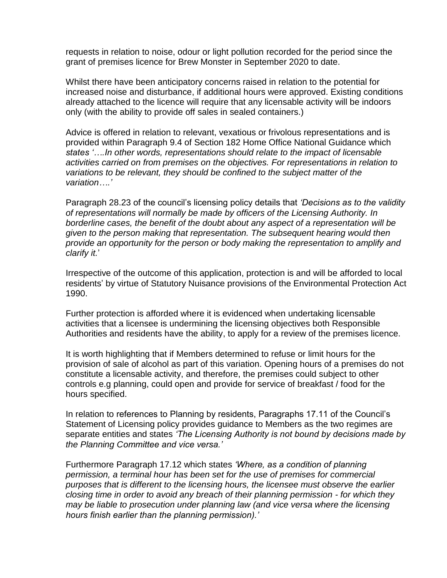requests in relation to noise, odour or light pollution recorded for the period since the grant of premises licence for Brew Monster in September 2020 to date.

Whilst there have been anticipatory concerns raised in relation to the potential for increased noise and disturbance, if additional hours were approved. Existing conditions already attached to the licence will require that any licensable activity will be indoors only (with the ability to provide off sales in sealed containers.)

Advice is offered in relation to relevant, vexatious or frivolous representations and is provided within Paragraph 9.4 of Section 182 Home Office National Guidance which *states '….In other words, representations should relate to the impact of licensable activities carried on from premises on the objectives. For representations in relation to variations to be relevant, they should be confined to the subject matter of the variation….'*

Paragraph 28.23 of the council's licensing policy details that *'Decisions as to the validity of representations will normally be made by officers of the Licensing Authority. In borderline cases, the benefit of the doubt about any aspect of a representation will be given to the person making that representation. The subsequent hearing would then provide an opportunity for the person or body making the representation to amplify and clarify it.*'

Irrespective of the outcome of this application, protection is and will be afforded to local residents' by virtue of Statutory Nuisance provisions of the Environmental Protection Act 1990.

Further protection is afforded where it is evidenced when undertaking licensable activities that a licensee is undermining the licensing objectives both Responsible Authorities and residents have the ability, to apply for a review of the premises licence.

It is worth highlighting that if Members determined to refuse or limit hours for the provision of sale of alcohol as part of this variation. Opening hours of a premises do not constitute a licensable activity, and therefore, the premises could subject to other controls e.g planning, could open and provide for service of breakfast / food for the hours specified.

In relation to references to Planning by residents, Paragraphs 17.11 of the Council's Statement of Licensing policy provides guidance to Members as the two regimes are separate entities and states *'The Licensing Authority is not bound by decisions made by the Planning Committee and vice versa.'*

Furthermore Paragraph 17.12 which states *'Where, as a condition of planning permission, a terminal hour has been set for the use of premises for commercial purposes that is different to the licensing hours, the licensee must observe the earlier closing time in order to avoid any breach of their planning permission - for which they may be liable to prosecution under planning law (and vice versa where the licensing hours finish earlier than the planning permission).'*